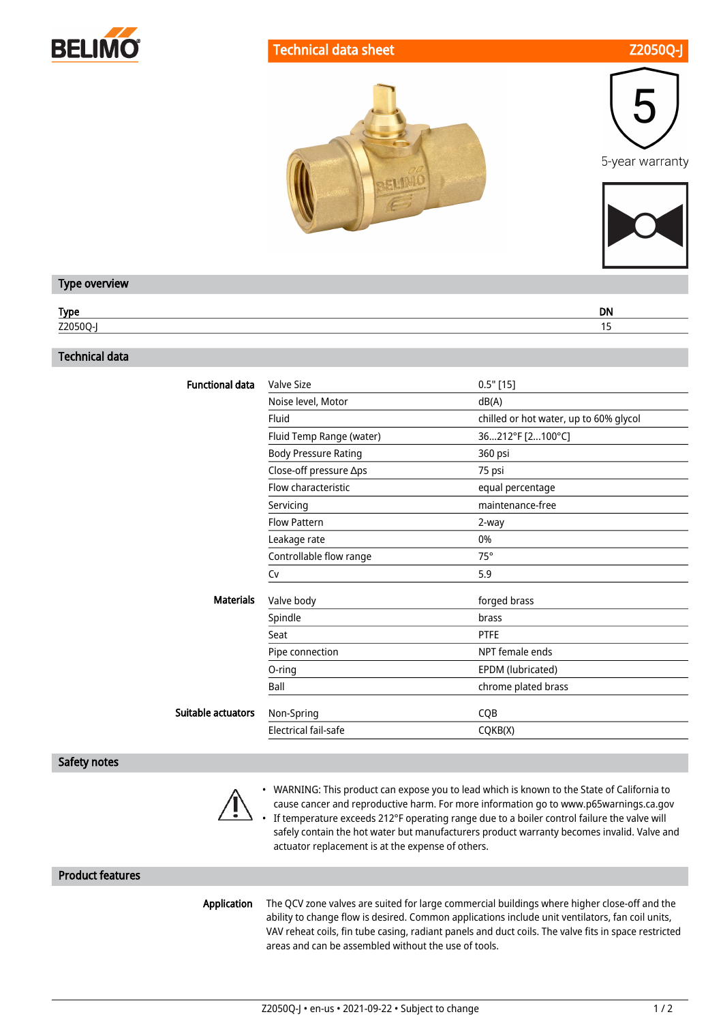

## Technical data sheet **Z2050Q-**





#### Type overview

| $T_{\rm{max}}$<br>.<br>. . | <b>DN</b> |
|----------------------------|-----------|
| $\blacksquare$<br>ームロンい    |           |

#### Technical data

| <b>Functional data</b> | Valve Size                  | $0.5"$ [15]                            |
|------------------------|-----------------------------|----------------------------------------|
|                        | Noise level, Motor          | dB(A)                                  |
|                        |                             |                                        |
|                        | Fluid                       | chilled or hot water, up to 60% glycol |
|                        | Fluid Temp Range (water)    | 36212°F [2100°C]                       |
|                        | <b>Body Pressure Rating</b> | 360 psi                                |
|                        | Close-off pressure ∆ps      | 75 psi                                 |
|                        | Flow characteristic         | equal percentage                       |
|                        | Servicing                   | maintenance-free                       |
|                        | <b>Flow Pattern</b>         | 2-way                                  |
|                        | Leakage rate                | 0%                                     |
|                        | Controllable flow range     | $75^\circ$                             |
|                        | Cv                          | 5.9                                    |
| <b>Materials</b>       | Valve body                  | forged brass                           |
|                        | Spindle                     | brass                                  |
|                        | Seat                        | <b>PTFE</b>                            |
|                        | Pipe connection             | NPT female ends                        |
|                        | O-ring                      | EPDM (lubricated)                      |
|                        | Ball                        | chrome plated brass                    |
| Suitable actuators     | Non-Spring                  | <b>CQB</b>                             |
|                        | Electrical fail-safe        | CQKB(X)                                |
|                        |                             |                                        |

### Safety notes



• WARNING: This product can expose you to lead which is known to the State of California to • cause cancer and reproductive harm. For more information go to www.p65warnings.ca.gov If temperature exceeds 212°F operating range due to a boiler control failure the valve will safely contain the hot water but manufacturers product warranty becomes invalid. Valve and actuator replacement is at the expense of others.

## Product features

Application

The QCV zone valves are suited for large commercial buildings where higher close-off and the ability to change flow is desired. Common applications include unit ventilators, fan coil units, VAV reheat coils, fin tube casing, radiant panels and duct coils. The valve fits in space restricted areas and can be assembled without the use of tools.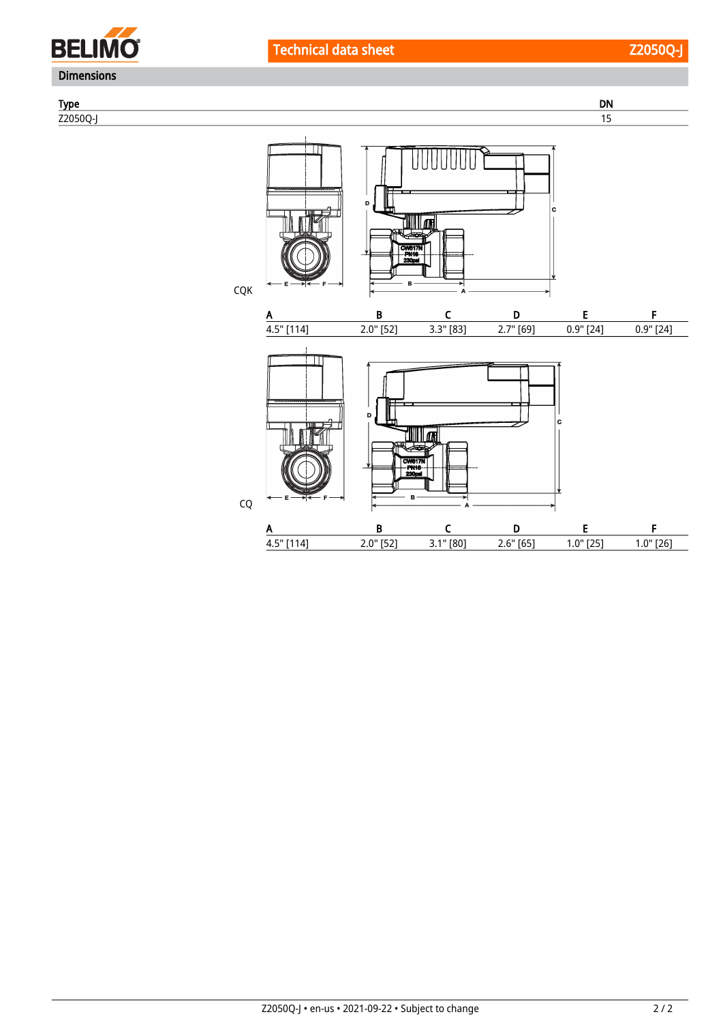

CQ

Type DN Z2050Q-J 15 **TUTUTUT** ۱c UI 34817 CQK A B C D E F 4.5" [114] 2.0" [52] 3.3" [83] 2.7" [69] 0.9" [24] 0.9" [24] <u>TIIII lon</u>

'n.

A B C D E F 4.5" [114] 2.0" [52] 3.1" [80] 2.6" [65] 1.0" [25] 1.0" [26]

## Z2050Q-J • en-us • 2021-09-22 • Subject to change 2 / 2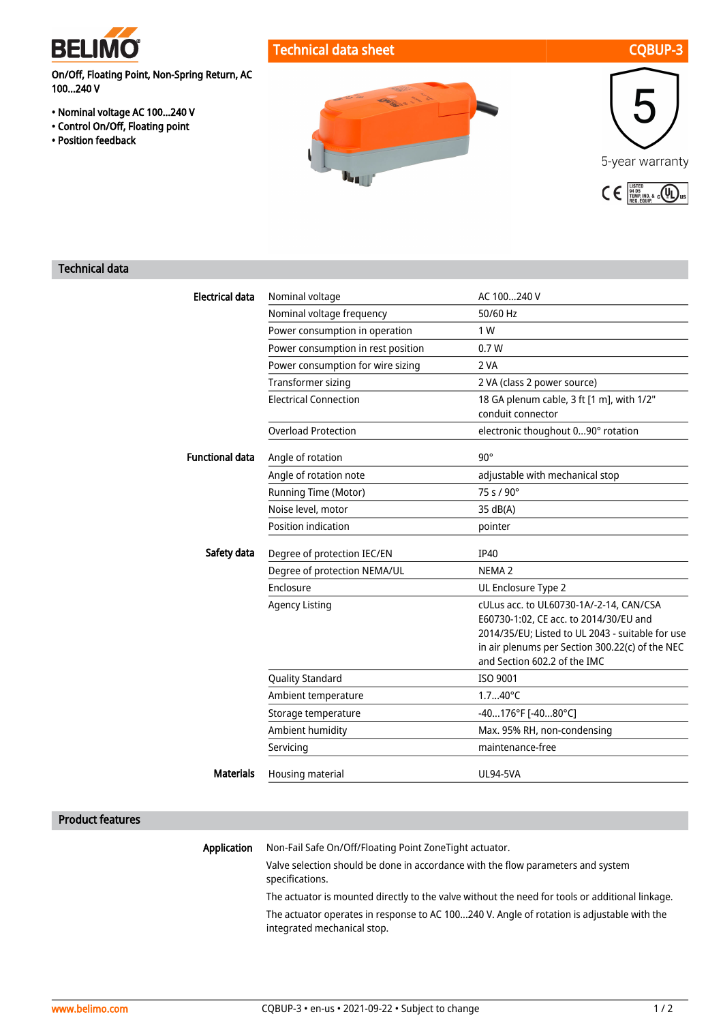

## Technical data sheet CQBUP-3

On/Off, Floating Point, Non-Spring Return, AC 100...240 V

- Nominal voltage AC 100...240 V
- Control On/Off, Floating point
- Position feedback





## Technical data

| <b>Electrical data</b> | Nominal voltage                    | AC 100240 V                                                                       |
|------------------------|------------------------------------|-----------------------------------------------------------------------------------|
|                        | Nominal voltage frequency          | 50/60 Hz                                                                          |
|                        | Power consumption in operation     | 1 W                                                                               |
|                        | Power consumption in rest position | 0.7W                                                                              |
|                        | Power consumption for wire sizing  | 2 VA                                                                              |
|                        | Transformer sizing                 | 2 VA (class 2 power source)                                                       |
|                        | <b>Electrical Connection</b>       | 18 GA plenum cable, 3 ft [1 m], with 1/2"<br>conduit connector                    |
|                        | <b>Overload Protection</b>         | electronic thoughout 090° rotation                                                |
| <b>Functional data</b> | Angle of rotation                  | $90^\circ$                                                                        |
|                        | Angle of rotation note             | adjustable with mechanical stop                                                   |
|                        | Running Time (Motor)               | $75 s / 90^\circ$                                                                 |
|                        | Noise level, motor                 | 35 dB(A)                                                                          |
|                        | Position indication                | pointer                                                                           |
| Safety data            | Degree of protection IEC/EN        | <b>IP40</b>                                                                       |
|                        | Degree of protection NEMA/UL       | NEMA <sub>2</sub>                                                                 |
|                        | Enclosure                          | UL Enclosure Type 2                                                               |
|                        | <b>Agency Listing</b>              | cULus acc. to UL60730-1A/-2-14, CAN/CSA<br>E60730-1:02, CE acc. to 2014/30/EU and |
|                        |                                    | 2014/35/EU; Listed to UL 2043 - suitable for use                                  |
|                        |                                    | in air plenums per Section 300.22(c) of the NEC                                   |
|                        |                                    | and Section 602.2 of the IMC                                                      |
|                        | <b>Quality Standard</b>            | ISO 9001                                                                          |
|                        | Ambient temperature                | $1.740^{\circ}$ C                                                                 |
|                        | Storage temperature                | $-40176$ °F [ $-4080$ °C]                                                         |
|                        | Ambient humidity                   | Max. 95% RH, non-condensing                                                       |
|                        | Servicing                          | maintenance-free                                                                  |
| <b>Materials</b>       | Housing material                   | <b>UL94-5VA</b>                                                                   |

#### Product features

Application Non-Fail Safe On/Off/Floating Point ZoneTight actuator.

> Valve selection should be done in accordance with the flow parameters and system specifications.

The actuator is mounted directly to the valve without the need for tools or additional linkage. The actuator operates in response to AC 100...240 V. Angle of rotation is adjustable with the integrated mechanical stop.